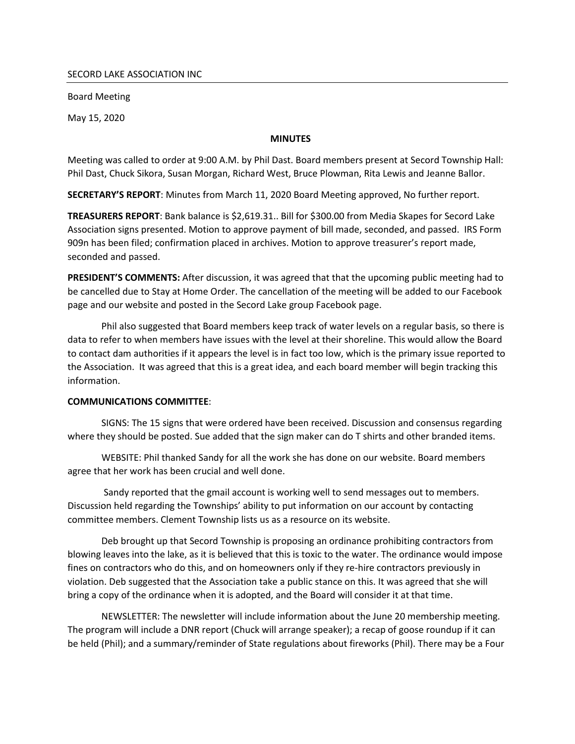### SECORD LAKE ASSOCIATION INC

Board Meeting

May 15, 2020

### **MINUTES**

Meeting was called to order at 9:00 A.M. by Phil Dast. Board members present at Secord Township Hall: Phil Dast, Chuck Sikora, Susan Morgan, Richard West, Bruce Plowman, Rita Lewis and Jeanne Ballor.

SECRETARY'S REPORT: Minutes from March 11, 2020 Board Meeting approved, No further report.

TREASURERS REPORT: Bank balance is \$2,619.31.. Bill for \$300.00 from Media Skapes for Secord Lake Association signs presented. Motion to approve payment of bill made, seconded, and passed. IRS Form 909n has been filed; confirmation placed in archives. Motion to approve treasurer's report made, seconded and passed.

PRESIDENT'S COMMENTS: After discussion, it was agreed that that the upcoming public meeting had to be cancelled due to Stay at Home Order. The cancellation of the meeting will be added to our Facebook page and our website and posted in the Secord Lake group Facebook page.

Phil also suggested that Board members keep track of water levels on a regular basis, so there is data to refer to when members have issues with the level at their shoreline. This would allow the Board to contact dam authorities if it appears the level is in fact too low, which is the primary issue reported to the Association. It was agreed that this is a great idea, and each board member will begin tracking this information.

## COMMUNICATIONS COMMITTEE:

SIGNS: The 15 signs that were ordered have been received. Discussion and consensus regarding where they should be posted. Sue added that the sign maker can do T shirts and other branded items.

WEBSITE: Phil thanked Sandy for all the work she has done on our website. Board members agree that her work has been crucial and well done.

Sandy reported that the gmail account is working well to send messages out to members. Discussion held regarding the Townships' ability to put information on our account by contacting committee members. Clement Township lists us as a resource on its website.

Deb brought up that Secord Township is proposing an ordinance prohibiting contractors from blowing leaves into the lake, as it is believed that this is toxic to the water. The ordinance would impose fines on contractors who do this, and on homeowners only if they re-hire contractors previously in violation. Deb suggested that the Association take a public stance on this. It was agreed that she will bring a copy of the ordinance when it is adopted, and the Board will consider it at that time.

NEWSLETTER: The newsletter will include information about the June 20 membership meeting. The program will include a DNR report (Chuck will arrange speaker); a recap of goose roundup if it can be held (Phil); and a summary/reminder of State regulations about fireworks (Phil). There may be a Four